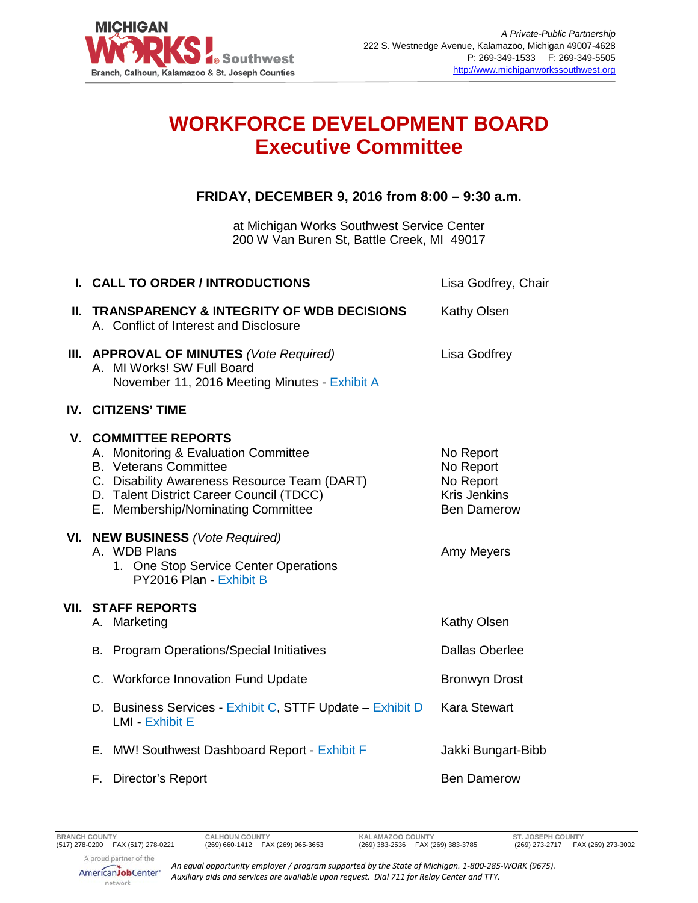

## **WORKFORCE DEVELOPMENT BOARD Executive Committee**

## **FRIDAY, DECEMBER 9, 2016 from 8:00 – 9:30 a.m.**

at Michigan Works Southwest Service Center 200 W Van Buren St, Battle Creek, MI 49017

| I. CALL TO ORDER / INTRODUCTIONS                                                                                                                                                                                                      | Lisa Godfrey, Chair                                                              |
|---------------------------------------------------------------------------------------------------------------------------------------------------------------------------------------------------------------------------------------|----------------------------------------------------------------------------------|
| II. TRANSPARENCY & INTEGRITY OF WDB DECISIONS<br>A. Conflict of Interest and Disclosure                                                                                                                                               | <b>Kathy Olsen</b>                                                               |
| <b>III. APPROVAL OF MINUTES</b> (Vote Required)<br>A. MI Works! SW Full Board<br>November 11, 2016 Meeting Minutes - Exhibit A                                                                                                        | Lisa Godfrey                                                                     |
| <b>IV. CITIZENS' TIME</b>                                                                                                                                                                                                             |                                                                                  |
| <b>V. COMMITTEE REPORTS</b><br>A. Monitoring & Evaluation Committee<br><b>B.</b> Veterans Committee<br>C. Disability Awareness Resource Team (DART)<br>D. Talent District Career Council (TDCC)<br>E. Membership/Nominating Committee | No Report<br>No Report<br>No Report<br><b>Kris Jenkins</b><br><b>Ben Damerow</b> |
| VI. NEW BUSINESS (Vote Required)<br>A. WDB Plans<br>1. One Stop Service Center Operations<br>PY2016 Plan - Exhibit B                                                                                                                  | Amy Meyers                                                                       |
| <b>VII. STAFF REPORTS</b><br>A. Marketing                                                                                                                                                                                             | Kathy Olsen                                                                      |
| B. Program Operations/Special Initiatives                                                                                                                                                                                             | <b>Dallas Oberlee</b>                                                            |
| C. Workforce Innovation Fund Update                                                                                                                                                                                                   | <b>Bronwyn Drost</b>                                                             |
| D. Business Services - Exhibit C, STTF Update - Exhibit D<br><b>LMI - Exhibit E</b>                                                                                                                                                   | <b>Kara Stewart</b>                                                              |
| E. MW! Southwest Dashboard Report - Exhibit F                                                                                                                                                                                         | Jakki Bungart-Bibb                                                               |
| F. Director's Report                                                                                                                                                                                                                  | <b>Ben Damerow</b>                                                               |

A proud partner of the